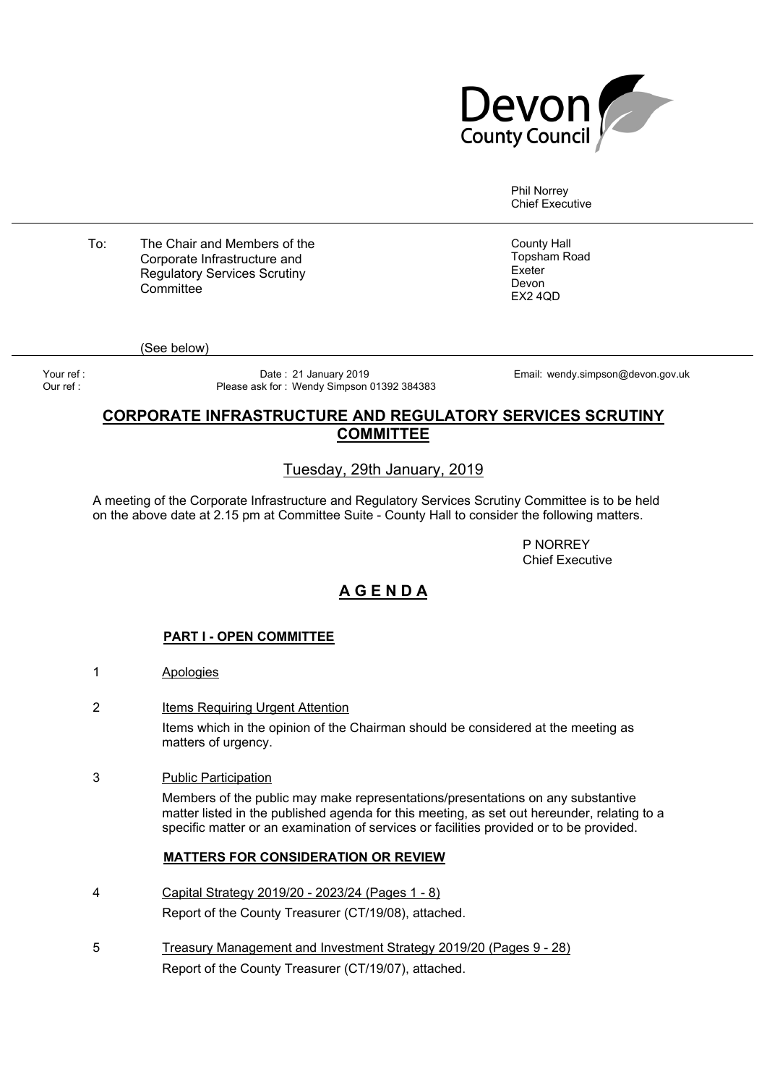

Phil Norrey Chief Executive

To: The Chair and Members of the Corporate Infrastructure and Regulatory Services Scrutiny **Committee** 

County Hall Topsham Road Exeter Devon EX2 4QD

(See below)

Your ref : Carry of the state : 21 January 2019<br>
Date : 21 January 2019 Curref : Carry Email: wendy.simpson@devon.gov.uk<br>
Our ref : Carry of the Please ask for : Wendy Simpson 01392 384383 Please ask for : Wendy Simpson 01392 384383

# **CORPORATE INFRASTRUCTURE AND REGULATORY SERVICES SCRUTINY COMMITTEE**

Tuesday, 29th January, 2019

A meeting of the Corporate Infrastructure and Regulatory Services Scrutiny Committee is to be held on the above date at 2.15 pm at Committee Suite - County Hall to consider the following matters.

> P NORREY Chief Executive

# **A G E N D A**

## **PART I - OPEN COMMITTEE**

- 1 Apologies
- 2 Items Requiring Urgent Attention

Items which in the opinion of the Chairman should be considered at the meeting as matters of urgency.

3 Public Participation

Members of the public may make representations/presentations on any substantive matter listed in the published agenda for this meeting, as set out hereunder, relating to a specific matter or an examination of services or facilities provided or to be provided.

### **MATTERS FOR CONSIDERATION OR REVIEW**

- 4 Capital Strategy 2019/20 2023/24 (Pages 1 8) Report of the County Treasurer (CT/19/08), attached.
- 5 Treasury Management and Investment Strategy 2019/20 (Pages 9 28) Report of the County Treasurer (CT/19/07), attached.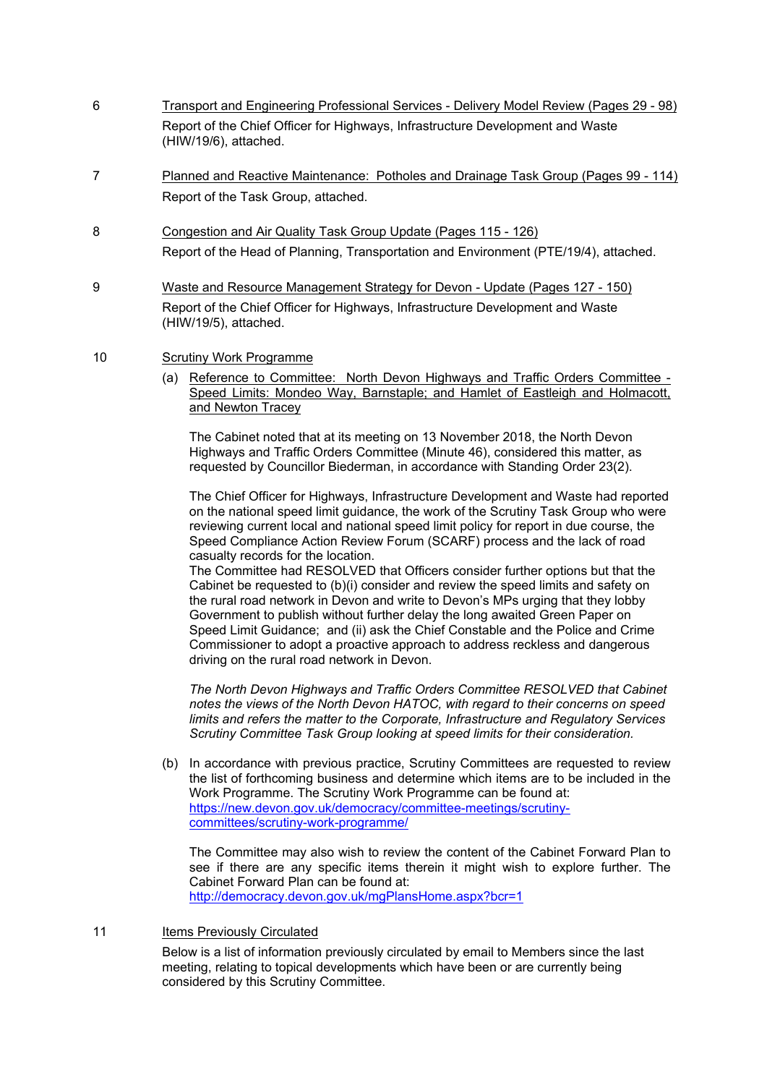- 6 Transport and Engineering Professional Services Delivery Model Review (Pages 29 98) Report of the Chief Officer for Highways, Infrastructure Development and Waste (HIW/19/6), attached.
- 7 Planned and Reactive Maintenance: Potholes and Drainage Task Group (Pages 99 114) Report of the Task Group, attached.
- 8 Congestion and Air Quality Task Group Update (Pages 115 126) Report of the Head of Planning, Transportation and Environment (PTE/19/4), attached.
- 9 Waste and Resource Management Strategy for Devon Update (Pages 127 150) Report of the Chief Officer for Highways, Infrastructure Development and Waste (HIW/19/5), attached.
- 10 Scrutiny Work Programme
	- (a) Reference to Committee: North Devon Highways and Traffic Orders Committee Speed Limits: Mondeo Way, Barnstaple; and Hamlet of Eastleigh and Holmacott, and Newton Tracey

The Cabinet noted that at its meeting on 13 November 2018, the North Devon Highways and Traffic Orders Committee (Minute 46), considered this matter, as requested by Councillor Biederman, in accordance with Standing Order 23(2).

The Chief Officer for Highways, Infrastructure Development and Waste had reported on the national speed limit guidance, the work of the Scrutiny Task Group who were reviewing current local and national speed limit policy for report in due course, the Speed Compliance Action Review Forum (SCARF) process and the lack of road casualty records for the location.

The Committee had RESOLVED that Officers consider further options but that the Cabinet be requested to (b)(i) consider and review the speed limits and safety on the rural road network in Devon and write to Devon's MPs urging that they lobby Government to publish without further delay the long awaited Green Paper on Speed Limit Guidance; and (ii) ask the Chief Constable and the Police and Crime Commissioner to adopt a proactive approach to address reckless and dangerous driving on the rural road network in Devon.

*The North Devon Highways and Traffic Orders Committee RESOLVED that Cabinet notes the views of the North Devon HATOC, with regard to their concerns on speed limits and refers the matter to the Corporate, Infrastructure and Regulatory Services Scrutiny Committee Task Group looking at speed limits for their consideration.*

(b) In accordance with previous practice, Scrutiny Committees are requested to review the list of forthcoming business and determine which items are to be included in the Work Programme. The Scrutiny Work Programme can be found at: [https://new.devon.gov.uk/democracy/committee-meetings/scrutiny](https://new.devon.gov.uk/democracy/committee-meetings/scrutiny-committees/scrutiny-work-programme/)[committees/scrutiny-work-programme/](https://new.devon.gov.uk/democracy/committee-meetings/scrutiny-committees/scrutiny-work-programme/)

The Committee may also wish to review the content of the Cabinet Forward Plan to see if there are any specific items therein it might wish to explore further. The Cabinet Forward Plan can be found at: <http://democracy.devon.gov.uk/mgPlansHome.aspx?bcr=1>

### 11 Items Previously Circulated

Below is a list of information previously circulated by email to Members since the last meeting, relating to topical developments which have been or are currently being considered by this Scrutiny Committee.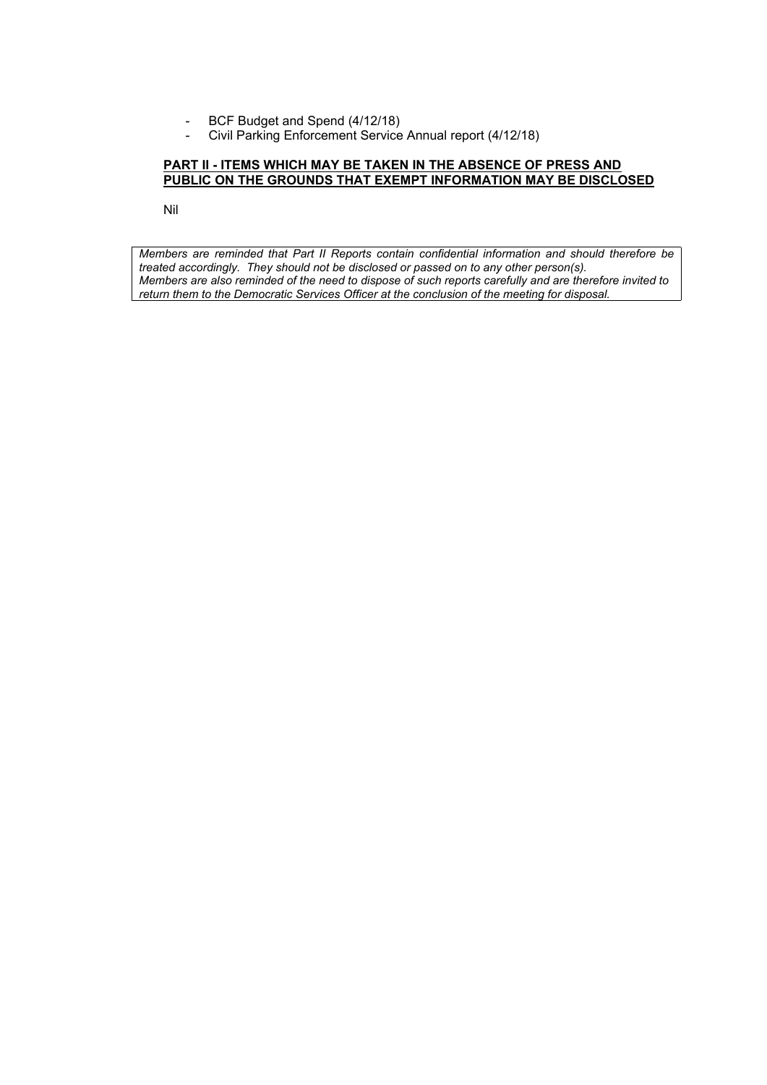- BCF Budget and Spend (4/12/18)<br>- Civil Parking Enforcement Service
- Civil Parking Enforcement Service Annual report (4/12/18)

### **PART II - ITEMS WHICH MAY BE TAKEN IN THE ABSENCE OF PRESS AND PUBLIC ON THE GROUNDS THAT EXEMPT INFORMATION MAY BE DISCLOSED**

Nil

*Members are reminded that Part II Reports contain confidential information and should therefore be treated accordingly. They should not be disclosed or passed on to any other person(s).* Members are also reminded of the need to dispose of such reports carefully and are therefore invited to *return them to the Democratic Services Officer at the conclusion of the meeting for disposal.*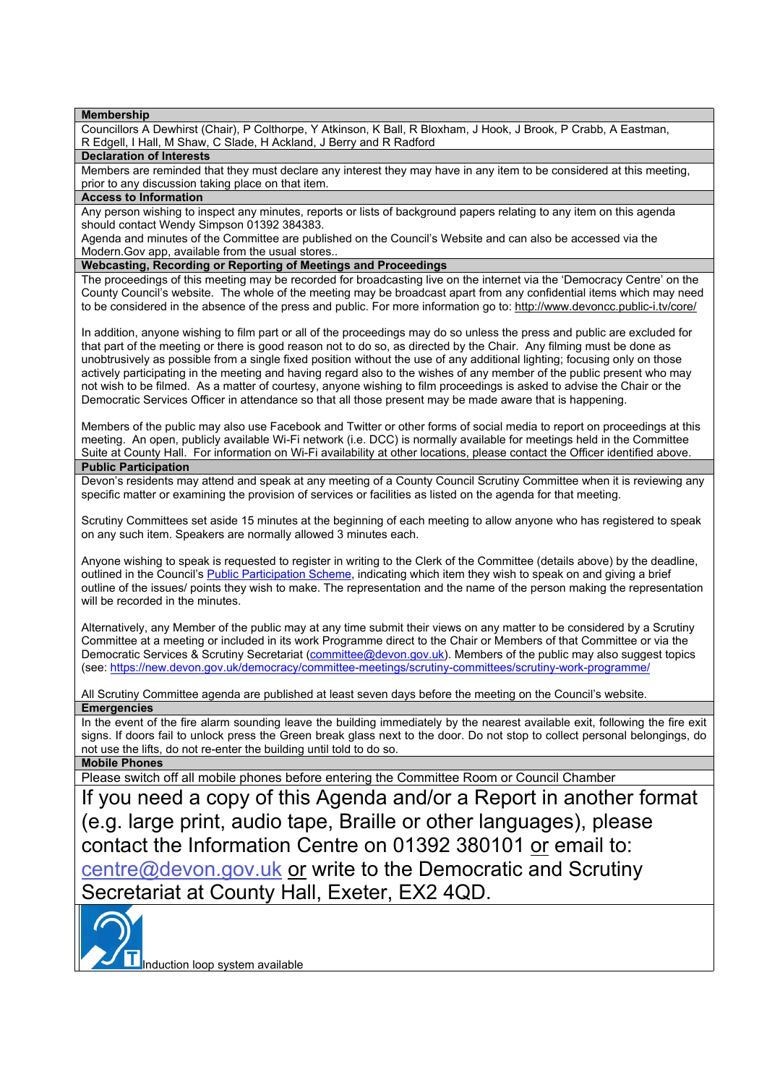**Membership** Councillors A Dewhirst (Chair), P Colthorpe, Y Atkinson, K Ball, R Bloxham, J Hook, J Brook, P Crabb, A Eastman, R Edgell, I Hall, M Shaw, C Slade, H Ackland, J Berry and R Radford **Declaration of Interests** Members are reminded that they must declare any interest they may have in any item to be considered at this meeting, prior to any discussion taking place on that item. **Access to Information** Any person wishing to inspect any minutes, reports or lists of background papers relating to any item on this agenda should contact Wendy Simpson 01392 384383. Agenda and minutes of the Committee are published on the Council's Website and can also be accessed via the Modern.Gov app, available from the usual stores.. **Webcasting, Recording or Reporting of Meetings and Proceedings** The proceedings of this meeting may be recorded for broadcasting live on the internet via the 'Democracy Centre' on the County Council's website. The whole of the meeting may be broadcast apart from any confidential items which may need to be considered in the absence of the press and public. For more information go to: <http://www.devoncc.public-i.tv/core/> In addition, anyone wishing to film part or all of the proceedings may do so unless the press and public are excluded for that part of the meeting or there is good reason not to do so, as directed by the Chair. Any filming must be done as unobtrusively as possible from a single fixed position without the use of any additional lighting; focusing only on those actively participating in the meeting and having regard also to the wishes of any member of the public present who may not wish to be filmed. As a matter of courtesy, anyone wishing to film proceedings is asked to advise the Chair or the Democratic Services Officer in attendance so that all those present may be made aware that is happening. Members of the public may also use Facebook and Twitter or other forms of social media to report on proceedings at this meeting. An open, publicly available Wi-Fi network (i.e. DCC) is normally available for meetings held in the Committee Suite at County Hall. For information on Wi-Fi availability at other locations, please contact the Officer identified above. **Public Participation** Devon's residents may attend and speak at any meeting of a County Council Scrutiny Committee when it is reviewing any specific matter or examining the provision of services or facilities as listed on the agenda for that meeting. Scrutiny Committees set aside 15 minutes at the beginning of each meeting to allow anyone who has registered to speak on any such item. Speakers are normally allowed 3 minutes each. Anyone wishing to speak is requested to register in writing to the Clerk of the Committee (details above) by the deadline, outlined in the Council's Public [Participation](https://new.devon.gov.uk/democracy/guide/public-participation-at-committee-meetings/part-1-can-i-attend-a-meeting/) Scheme, indicating which item they wish to speak on and giving a brief outline of the issues/ points they wish to make. The representation and the name of the person making the representation will be recorded in the minutes. Alternatively, any Member of the public may at any time submit their views on any matter to be considered by a Scrutiny Committee at a meeting or included in its work Programme direct to the Chair or Members of that Committee or via the Democratic Services & Scrutiny Secretariat ([committee@devon.gov.uk\)](mailto:committee@devon.gov.uk). Members of the public may also suggest topics (see: <https://new.devon.gov.uk/democracy/committee-meetings/scrutiny-committees/scrutiny-work-programme/> All Scrutiny Committee agenda are published at least seven days before the meeting on the Council's website. **Emergencies** In the event of the fire alarm sounding leave the building immediately by the nearest available exit, following the fire exit signs. If doors fail to unlock press the Green break glass next to the door. Do not stop to collect personal belongings, do not use the lifts, do not re-enter the building until told to do so. **Mobile Phones** Please switch off all mobile phones before entering the Committee Room or Council Chamber If you need a copy of this Agenda and/or a Report in another format (e.g. large print, audio tape, Braille or other languages), please contact the Information Centre on 01392 380101 or email to: [centre@devon.gov.uk](mailto:centre@devon.gov.uk) or write to the Democratic and Scrutiny Secretariat at County Hall, Exeter, EX2 4QD. Induction loop system available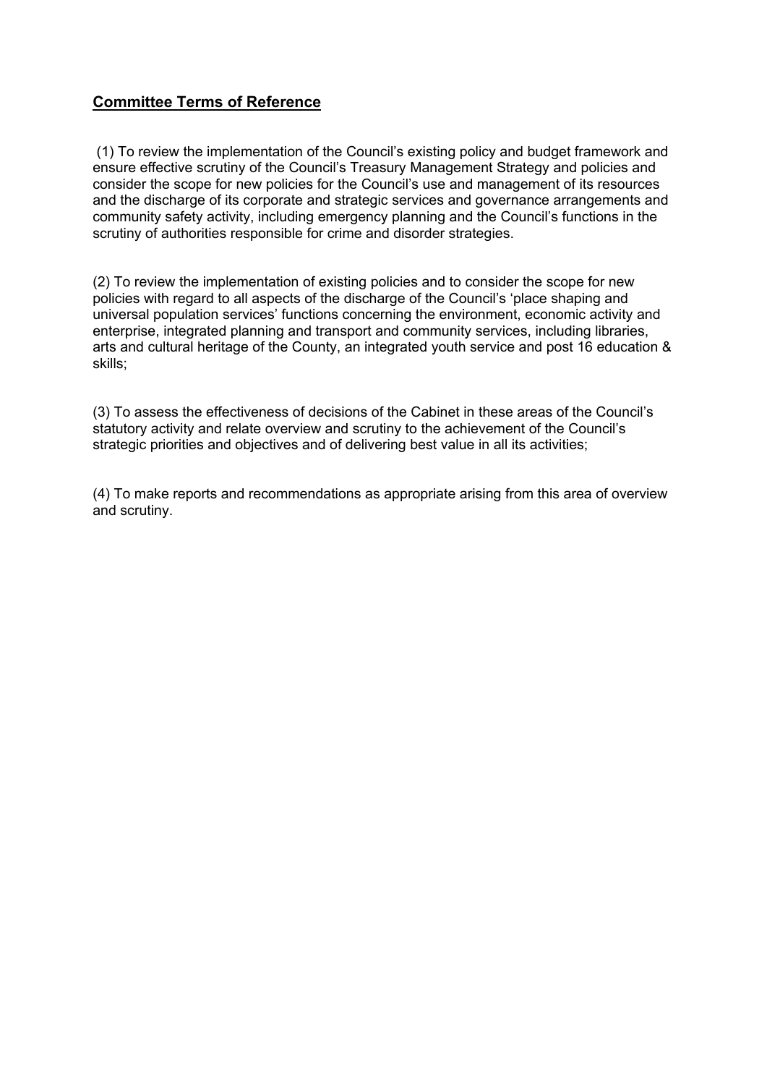# **Committee Terms of Reference**

(1) To review the implementation of the Council's existing policy and budget framework and ensure effective scrutiny of the Council's Treasury Management Strategy and policies and consider the scope for new policies for the Council's use and management of its resources and the discharge of its corporate and strategic services and governance arrangements and community safety activity, including emergency planning and the Council's functions in the scrutiny of authorities responsible for crime and disorder strategies.

(2) To review the implementation of existing policies and to consider the scope for new policies with regard to all aspects of the discharge of the Council's 'place shaping and universal population services' functions concerning the environment, economic activity and enterprise, integrated planning and transport and community services, including libraries, arts and cultural heritage of the County, an integrated youth service and post 16 education & skills;

(3) To assess the effectiveness of decisions of the Cabinet in these areas of the Council's statutory activity and relate overview and scrutiny to the achievement of the Council's strategic priorities and objectives and of delivering best value in all its activities;

(4) To make reports and recommendations as appropriate arising from this area of overview and scrutiny.